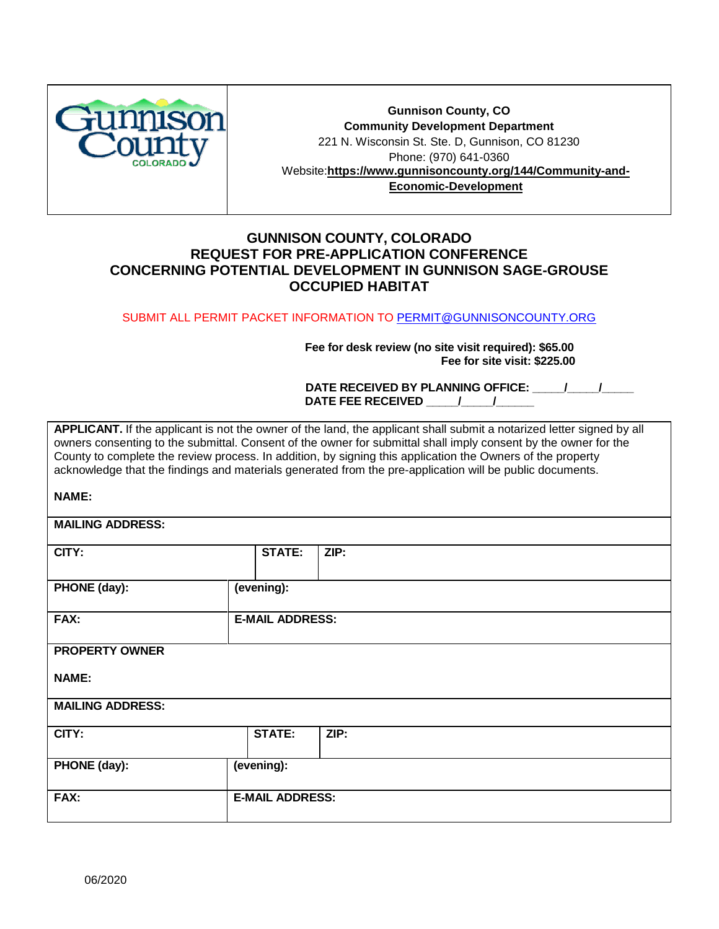

**Gunnison County, CO Community Development Department**  221 N. Wisconsin St. Ste. D, Gunnison, CO 81230 Phone: (970) 641-0360 Website:**[https://www.gunnisoncounty.org/144/Community-and-](https://www.gunnisoncounty.org/144/Community-and-Economic-Development)[Economic-Development](https://www.gunnisoncounty.org/144/Community-and-Economic-Development)**

# **GUNNISON COUNTY, COLORADO REQUEST FOR PRE-APPLICATION CONFERENCE CONCERNING POTENTIAL DEVELOPMENT IN GUNNISON SAGE-GROUSE OCCUPIED HABITAT**

#### SUBMIT ALL PERMIT PACKET INFORMATION TO [PERMIT@GUNNISONCOUNTY.ORG](mailto:PERMIT@GUNNISONCOUNTY.ORG)

 **Fee for desk review (no site visit required): \$65.00 Fee for site visit: \$225.00** 

DATE RECEIVED BY PLANNING OFFICE:  $\qquad$  /  $\qquad$  / DATE FEE RECEIVED  $\qquad$  /  $\qquad$  /

**APPLICANT.** If the applicant is not the owner of the land, the applicant shall submit a notarized letter signed by all owners consenting to the submittal. Consent of the owner for submittal shall imply consent by the owner for the County to complete the review process. In addition, by signing this application the Owners of the property acknowledge that the findings and materials generated from the pre-application will be public documents.

## **NAME:**

**MAILING ADDRESS:** 

| CITY:                   | <b>STATE:</b>          | ZIP: |
|-------------------------|------------------------|------|
| PHONE (day):            | (evening):             |      |
| FAX:                    | <b>E-MAIL ADDRESS:</b> |      |
| <b>PROPERTY OWNER</b>   |                        |      |
| <b>NAME:</b>            |                        |      |
| <b>MAILING ADDRESS:</b> |                        |      |
| CITY:                   | <b>STATE:</b>          | ZIP: |
| PHONE (day):            | (evening):             |      |
| FAX:                    | <b>E-MAIL ADDRESS:</b> |      |